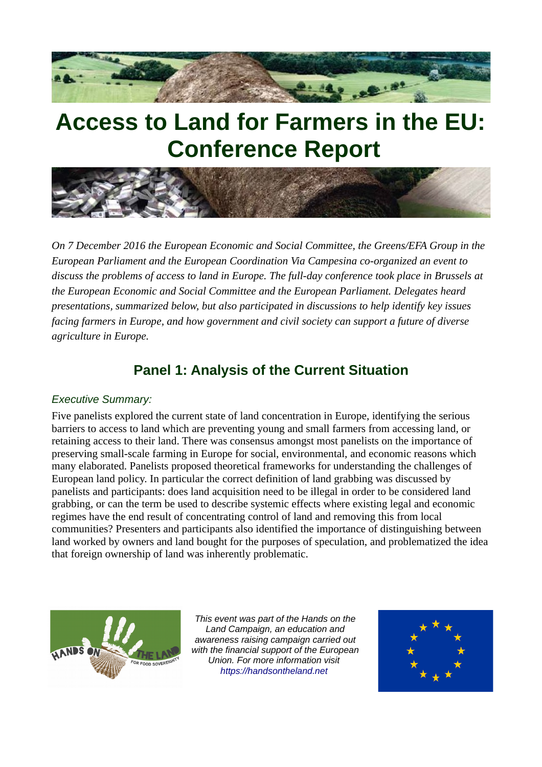

# **Access to Land for Farmers in the EU: Conference Report**



*On 7 December 2016 the European Economic and Social Committee, the Greens/EFA Group in the European Parliament and the European Coordination Via Campesina co-organized an event to discuss the problems of access to land in Europe. The full-day conference took place in Brussels at the European Economic and Social Committee and the European Parliament. Delegates heard presentations, summarized below, but also participated in discussions to help identify key issues facing farmers in Europe, and how government and civil society can support a future of diverse agriculture in Europe.*

# **Panel 1: Analysis of the Current Situation**

#### *Executive Summary:*

Five panelists explored the current state of land concentration in Europe, identifying the serious barriers to access to land which are preventing young and small farmers from accessing land, or retaining access to their land. There was consensus amongst most panelists on the importance of preserving small-scale farming in Europe for social, environmental, and economic reasons which many elaborated. Panelists proposed theoretical frameworks for understanding the challenges of European land policy. In particular the correct definition of land grabbing was discussed by panelists and participants: does land acquisition need to be illegal in order to be considered land grabbing, or can the term be used to describe systemic effects where existing legal and economic regimes have the end result of concentrating control of land and removing this from local communities? Presenters and participants also identified the importance of distinguishing between land worked by owners and land bought for the purposes of speculation, and problematized the idea that foreign ownership of land was inherently problematic.



*This event was part of the Hands on the Land Campaign, an education and awareness raising campaign carried out with the financial support of the European Union. For more information visit [https://handsontheland.net](https://handsontheland.net/)*

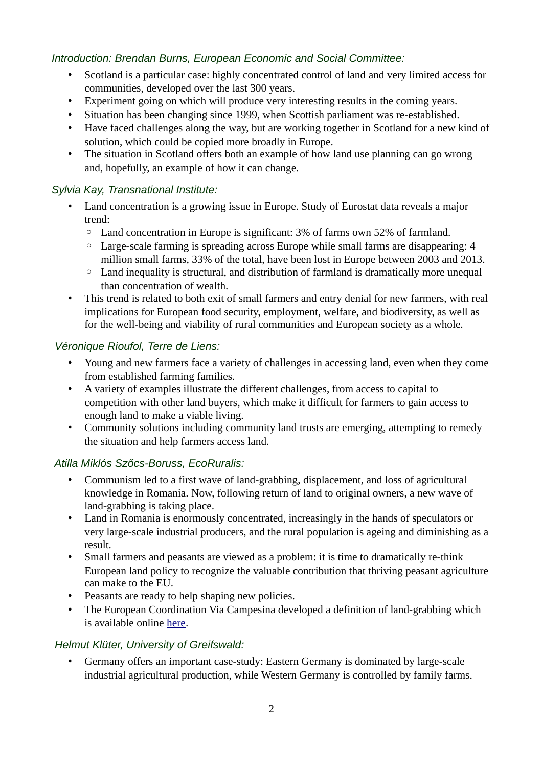# *Introduction: Brendan Burns, European Economic and Social Committee:*

- Scotland is a particular case: highly concentrated control of land and very limited access for communities, developed over the last 300 years.
- Experiment going on which will produce very interesting results in the coming years.
- Situation has been changing since 1999, when Scottish parliament was re-established.
- Have faced challenges along the way, but are working together in Scotland for a new kind of solution, which could be copied more broadly in Europe.
- The situation in Scotland offers both an example of how land use planning can go wrong and, hopefully, an example of how it can change.

#### *Sylvia Kay, Transnational Institute:*

- Land concentration is a growing issue in Europe. Study of Eurostat data reveals a major trend:
	- Land concentration in Europe is significant: 3% of farms own 52% of farmland.
	- Large-scale farming is spreading across Europe while small farms are disappearing: 4 million small farms, 33% of the total, have been lost in Europe between 2003 and 2013.
	- Land inequality is structural, and distribution of farmland is dramatically more unequal than concentration of wealth.
- This trend is related to both exit of small farmers and entry denial for new farmers, with real implications for European food security, employment, welfare, and biodiversity, as well as for the well-being and viability of rural communities and European society as a whole.

# *Véronique Rioufol, Terre de Liens:*

- Young and new farmers face a variety of challenges in accessing land, even when they come from established farming families.
- A variety of examples illustrate the different challenges, from access to capital to competition with other land buyers, which make it difficult for farmers to gain access to enough land to make a viable living.
- Community solutions including community land trusts are emerging, attempting to remedy the situation and help farmers access land.

# *Atilla Miklós Szőcs-Boruss, EcoRuralis:*

- Communism led to a first wave of land-grabbing, displacement, and loss of agricultural knowledge in Romania. Now, following return of land to original owners, a new wave of land-grabbing is taking place.
- Land in Romania is enormously concentrated, increasingly in the hands of speculators or very large-scale industrial producers, and the rural population is ageing and diminishing as a result.
- Small farmers and peasants are viewed as a problem: it is time to dramatically re-think European land policy to recognize the valuable contribution that thriving peasant agriculture can make to the EU.
- Peasants are ready to help shaping new policies.
- The European Coordination Via Campesina developed a definition of land-grabbing which is available online [here.](http://www.eurovia.org/how-do-we-define-land-grabbing)

# *Helmut Klüter, University of Greifswald:*

• Germany offers an important case-study: Eastern Germany is dominated by large-scale industrial agricultural production, while Western Germany is controlled by family farms.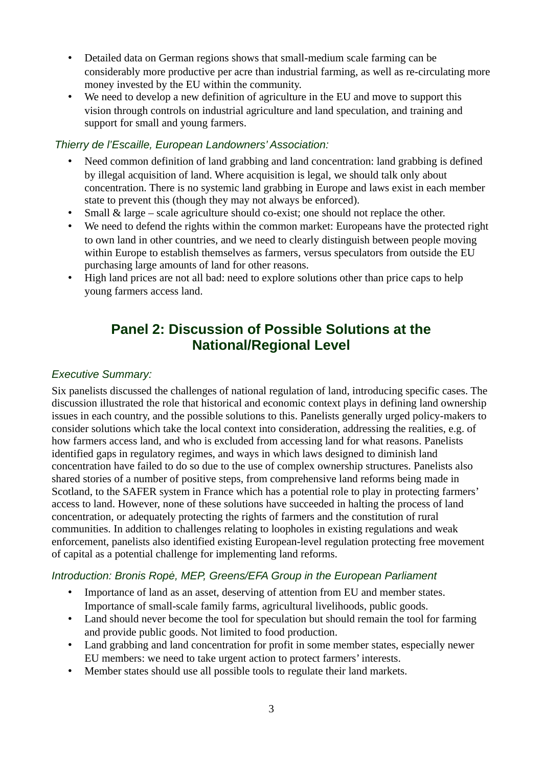- Detailed data on German regions shows that small-medium scale farming can be considerably more productive per acre than industrial farming, as well as re-circulating more money invested by the EU within the community.
- We need to develop a new definition of agriculture in the EU and move to support this vision through controls on industrial agriculture and land speculation, and training and support for small and young farmers.

#### *Thierry de l'Escaille, European Landowners' Association:*

- Need common definition of land grabbing and land concentration: land grabbing is defined by illegal acquisition of land. Where acquisition is legal, we should talk only about concentration. There is no systemic land grabbing in Europe and laws exist in each member state to prevent this (though they may not always be enforced).
- Small & large scale agriculture should co-exist; one should not replace the other.
- We need to defend the rights within the common market: Europeans have the protected right to own land in other countries, and we need to clearly distinguish between people moving within Europe to establish themselves as farmers, versus speculators from outside the EU purchasing large amounts of land for other reasons.
- High land prices are not all bad: need to explore solutions other than price caps to help young farmers access land.

# **Panel 2: Discussion of Possible Solutions at the National/Regional Level**

#### *Executive Summary:*

Six panelists discussed the challenges of national regulation of land, introducing specific cases. The discussion illustrated the role that historical and economic context plays in defining land ownership issues in each country, and the possible solutions to this. Panelists generally urged policy-makers to consider solutions which take the local context into consideration, addressing the realities, e.g. of how farmers access land, and who is excluded from accessing land for what reasons. Panelists identified gaps in regulatory regimes, and ways in which laws designed to diminish land concentration have failed to do so due to the use of complex ownership structures. Panelists also shared stories of a number of positive steps, from comprehensive land reforms being made in Scotland, to the SAFER system in France which has a potential role to play in protecting farmers' access to land. However, none of these solutions have succeeded in halting the process of land concentration, or adequately protecting the rights of farmers and the constitution of rural communities. In addition to challenges relating to loopholes in existing regulations and weak enforcement, panelists also identified existing European-level regulation protecting free movement of capital as a potential challenge for implementing land reforms.

#### *Introduction: Bronis Ropė, MEP, Greens/EFA Group in the European Parliament*

- Importance of land as an asset, deserving of attention from EU and member states. Importance of small-scale family farms, agricultural livelihoods, public goods.
- Land should never become the tool for speculation but should remain the tool for farming and provide public goods. Not limited to food production.
- Land grabbing and land concentration for profit in some member states, especially newer EU members: we need to take urgent action to protect farmers' interests.
- Member states should use all possible tools to regulate their land markets.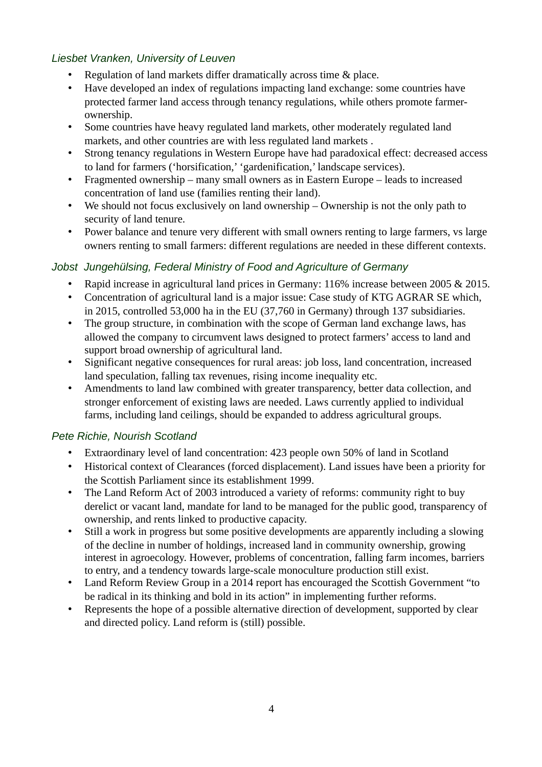# *Liesbet Vranken, University of Leuven*

- Regulation of land markets differ dramatically across time & place.
- Have developed an index of regulations impacting land exchange: some countries have protected farmer land access through tenancy regulations, while others promote farmerownership.
- Some countries have heavy regulated land markets, other moderately regulated land markets, and other countries are with less regulated land markets .
- Strong tenancy regulations in Western Europe have had paradoxical effect: decreased access to land for farmers ('horsification,' 'gardenification,' landscape services).
- Fragmented ownership many small owners as in Eastern Europe leads to increased concentration of land use (families renting their land).
- We should not focus exclusively on land ownership Ownership is not the only path to security of land tenure.
- Power balance and tenure very different with small owners renting to large farmers, vs large owners renting to small farmers: different regulations are needed in these different contexts.

# *Jobst Jungehülsing, Federal Ministry of Food and Agriculture of Germany*

- Rapid increase in agricultural land prices in Germany: 116% increase between 2005 & 2015.
- Concentration of agricultural land is a major issue: Case study of KTG AGRAR SE which, in 2015, controlled 53,000 ha in the EU (37,760 in Germany) through 137 subsidiaries.
- The group structure, in combination with the scope of German land exchange laws, has allowed the company to circumvent laws designed to protect farmers' access to land and support broad ownership of agricultural land.
- Significant negative consequences for rural areas: job loss, land concentration, increased land speculation, falling tax revenues, rising income inequality etc.
- Amendments to land law combined with greater transparency, better data collection, and stronger enforcement of existing laws are needed. Laws currently applied to individual farms, including land ceilings, should be expanded to address agricultural groups.

#### *Pete Richie, Nourish Scotland*

- Extraordinary level of land concentration: 423 people own 50% of land in Scotland
- Historical context of Clearances (forced displacement). Land issues have been a priority for the Scottish Parliament since its establishment 1999.
- The Land Reform Act of 2003 introduced a variety of reforms: community right to buy derelict or vacant land, mandate for land to be managed for the public good, transparency of ownership, and rents linked to productive capacity.
- Still a work in progress but some positive developments are apparently including a slowing of the decline in number of holdings, increased land in community ownership, growing interest in agroecology. However, problems of concentration, falling farm incomes, barriers to entry, and a tendency towards large-scale monoculture production still exist.
- Land Reform Review Group in a 2014 report has encouraged the Scottish Government "to be radical in its thinking and bold in its action" in implementing further reforms.
- Represents the hope of a possible alternative direction of development, supported by clear and directed policy. Land reform is (still) possible.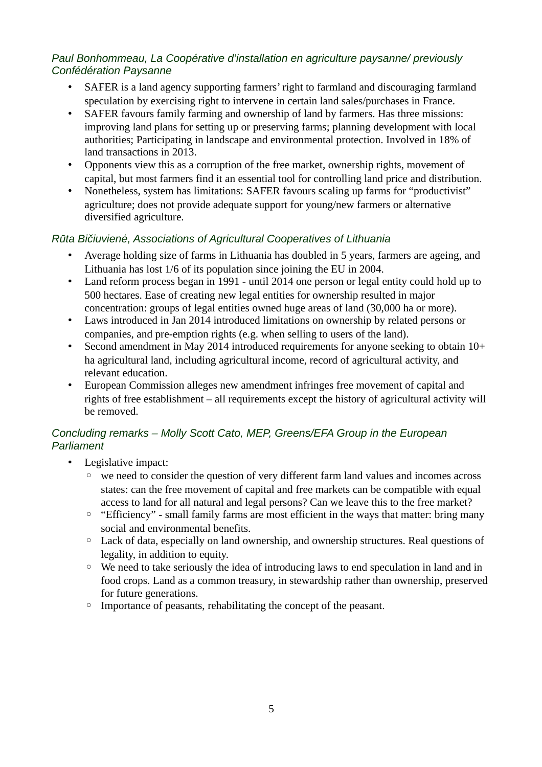# *Paul Bonhommeau, La Coopérative d'installation en agriculture paysanne/ previously Confédération Paysanne*

- SAFER is a land agency supporting farmers' right to farmland and discouraging farmland speculation by exercising right to intervene in certain land sales/purchases in France.
- SAFER favours family farming and ownership of land by farmers. Has three missions: improving land plans for setting up or preserving farms; planning development with local authorities; Participating in landscape and environmental protection. Involved in 18% of land transactions in 2013.
- Opponents view this as a corruption of the free market, ownership rights, movement of capital, but most farmers find it an essential tool for controlling land price and distribution.
- Nonetheless, system has limitations: SAFER favours scaling up farms for "productivist" agriculture; does not provide adequate support for young/new farmers or alternative diversified agriculture.

# *Rūta Bičiuvienė, Associations of Agricultural Cooperatives of Lithuania*

- Average holding size of farms in Lithuania has doubled in 5 years, farmers are ageing, and Lithuania has lost 1/6 of its population since joining the EU in 2004.
- Land reform process began in 1991 until 2014 one person or legal entity could hold up to 500 hectares. Ease of creating new legal entities for ownership resulted in major concentration: groups of legal entities owned huge areas of land (30,000 ha or more).
- Laws introduced in Jan 2014 introduced limitations on ownership by related persons or companies, and pre-emption rights (e.g. when selling to users of the land).
- Second amendment in May 2014 introduced requirements for anyone seeking to obtain 10+ ha agricultural land, including agricultural income, record of agricultural activity, and relevant education.
- European Commission alleges new amendment infringes free movement of capital and rights of free establishment – all requirements except the history of agricultural activity will be removed.

# *Concluding remarks – Molly Scott Cato, MEP, Greens/EFA Group in the European Parliament*

- Legislative impact:
	- we need to consider the question of very different farm land values and incomes across states: can the free movement of capital and free markets can be compatible with equal access to land for all natural and legal persons? Can we leave this to the free market?
	- "Efficiency" small family farms are most efficient in the ways that matter: bring many social and environmental benefits.
	- Lack of data, especially on land ownership, and ownership structures. Real questions of legality, in addition to equity.
	- We need to take seriously the idea of introducing laws to end speculation in land and in food crops. Land as a common treasury, in stewardship rather than ownership, preserved for future generations.
	- Importance of peasants, rehabilitating the concept of the peasant.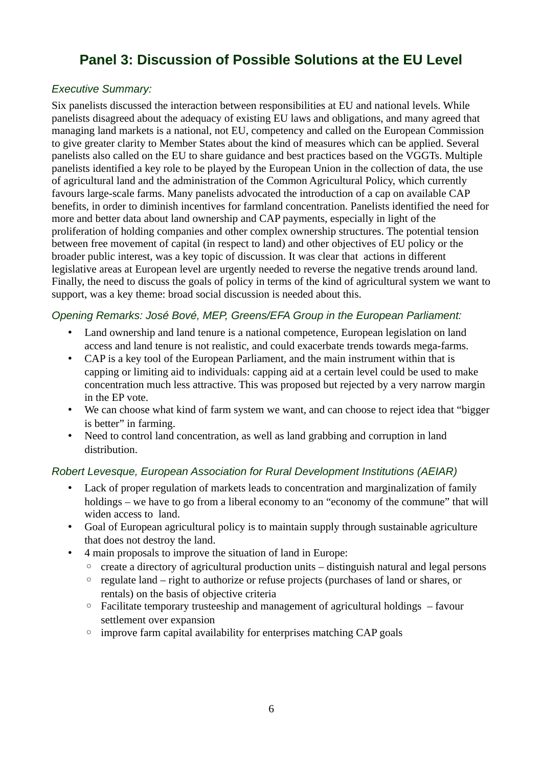# **Panel 3: Discussion of Possible Solutions at the EU Level**

# *Executive Summary:*

Six panelists discussed the interaction between responsibilities at EU and national levels. While panelists disagreed about the adequacy of existing EU laws and obligations, and many agreed that managing land markets is a national, not EU, competency and called on the European Commission to give greater clarity to Member States about the kind of measures which can be applied. Several panelists also called on the EU to share guidance and best practices based on the VGGTs. Multiple panelists identified a key role to be played by the European Union in the collection of data, the use of agricultural land and the administration of the Common Agricultural Policy, which currently favours large-scale farms. Many panelists advocated the introduction of a cap on available CAP benefits, in order to diminish incentives for farmland concentration. Panelists identified the need for more and better data about land ownership and CAP payments, especially in light of the proliferation of holding companies and other complex ownership structures. The potential tension between free movement of capital (in respect to land) and other objectives of EU policy or the broader public interest, was a key topic of discussion. It was clear that actions in different legislative areas at European level are urgently needed to reverse the negative trends around land. Finally, the need to discuss the goals of policy in terms of the kind of agricultural system we want to support, was a key theme: broad social discussion is needed about this.

#### *Opening Remarks: José Bové, MEP, Greens/EFA Group in the European Parliament:*

- Land ownership and land tenure is a national competence, European legislation on land access and land tenure is not realistic, and could exacerbate trends towards mega-farms.
- CAP is a key tool of the European Parliament, and the main instrument within that is capping or limiting aid to individuals: capping aid at a certain level could be used to make concentration much less attractive. This was proposed but rejected by a very narrow margin in the EP vote.
- We can choose what kind of farm system we want, and can choose to reject idea that "bigger is better" in farming.
- Need to control land concentration, as well as land grabbing and corruption in land distribution.

#### *Robert Levesque, European Association for Rural Development Institutions (AEIAR)*

- Lack of proper regulation of markets leads to concentration and marginalization of family holdings – we have to go from a liberal economy to an "economy of the commune" that will widen access to land.
- Goal of European agricultural policy is to maintain supply through sustainable agriculture that does not destroy the land.
- 4 main proposals to improve the situation of land in Europe:
	- create a directory of agricultural production units distinguish natural and legal persons
	- regulate land right to authorize or refuse projects (purchases of land or shares, or rentals) on the basis of objective criteria
	- $\circ$  Facilitate temporary trusteeship and management of agricultural holdings favour settlement over expansion
	- improve farm capital availability for enterprises matching CAP goals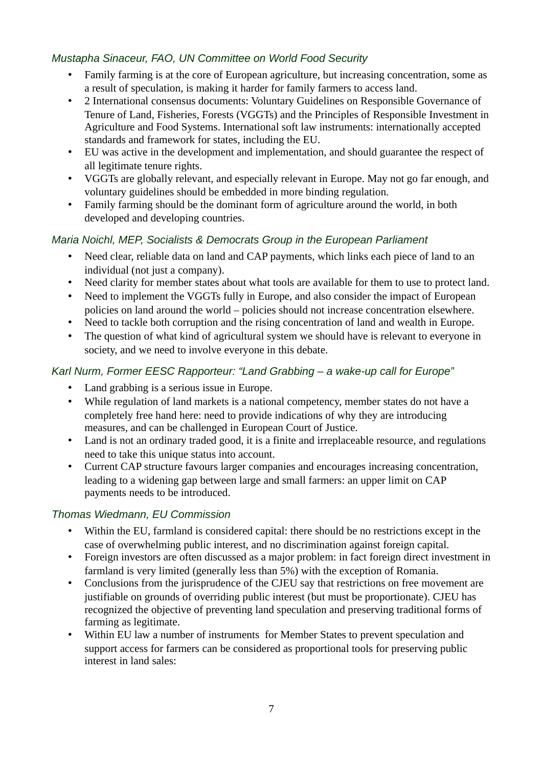# *Mustapha Sinaceur, FAO, UN Committee on World Food Security*

- Family farming is at the core of European agriculture, but increasing concentration, some as a result of speculation, is making it harder for family farmers to access land.
- 2 International consensus documents: Voluntary Guidelines on Responsible Governance of Tenure of Land, Fisheries, Forests (VGGTs) and the Principles of Responsible Investment in Agriculture and Food Systems. International soft law instruments: internationally accepted standards and framework for states, including the EU.
- EU was active in the development and implementation, and should guarantee the respect of all legitimate tenure rights.
- VGGTs are globally relevant, and especially relevant in Europe. May not go far enough, and voluntary guidelines should be embedded in more binding regulation.
- Family farming should be the dominant form of agriculture around the world, in both developed and developing countries.

# *Maria Noichl, MEP, Socialists & Democrats Group in the European Parliament*

- Need clear, reliable data on land and CAP payments, which links each piece of land to an individual (not just a company).
- Need clarity for member states about what tools are available for them to use to protect land.
- Need to implement the VGGTs fully in Europe, and also consider the impact of European policies on land around the world – policies should not increase concentration elsewhere.
- Need to tackle both corruption and the rising concentration of land and wealth in Europe.
- The question of what kind of agricultural system we should have is relevant to everyone in society, and we need to involve everyone in this debate.

# *Karl Nurm, Former EESC Rapporteur: "Land Grabbing – a wake-up call for Europe"*

- Land grabbing is a serious issue in Europe.
- While regulation of land markets is a national competency, member states do not have a completely free hand here: need to provide indications of why they are introducing measures, and can be challenged in European Court of Justice.
- Land is not an ordinary traded good, it is a finite and irreplaceable resource, and regulations need to take this unique status into account.
- Current CAP structure favours larger companies and encourages increasing concentration, leading to a widening gap between large and small farmers: an upper limit on CAP payments needs to be introduced.

# *Thomas Wiedmann, EU Commission*

- Within the EU, farmland is considered capital: there should be no restrictions except in the case of overwhelming public interest, and no discrimination against foreign capital.
- Foreign investors are often discussed as a major problem: in fact foreign direct investment in farmland is very limited (generally less than 5%) with the exception of Romania.
- Conclusions from the jurisprudence of the CJEU say that restrictions on free movement are justifiable on grounds of overriding public interest (but must be proportionate). CJEU has recognized the objective of preventing land speculation and preserving traditional forms of farming as legitimate.
- Within EU law a number of instruments for Member States to prevent speculation and support access for farmers can be considered as proportional tools for preserving public interest in land sales: